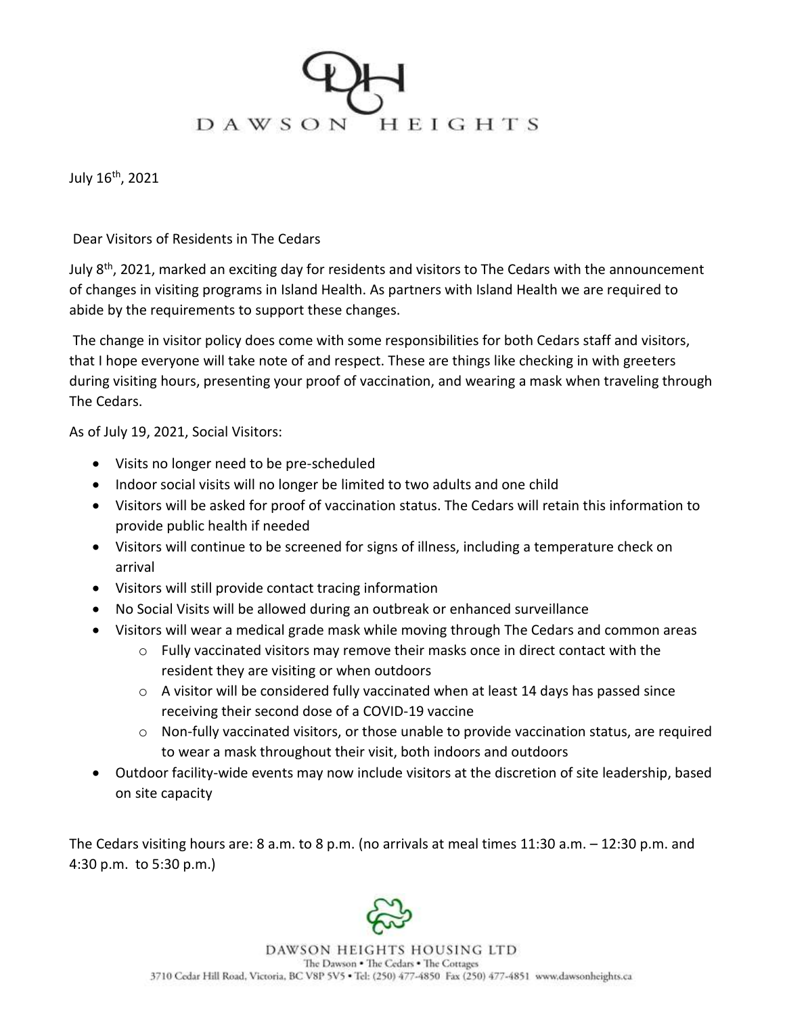

July 16th, 2021

## Dear Visitors of Residents in The Cedars

July 8<sup>th</sup>, 2021, marked an exciting day for residents and visitors to The Cedars with the announcement of changes in visiting programs in Island Health. As partners with Island Health we are required to abide by the requirements to support these changes.

The change in visitor policy does come with some responsibilities for both Cedars staff and visitors, that I hope everyone will take note of and respect. These are things like checking in with greeters during visiting hours, presenting your proof of vaccination, and wearing a mask when traveling through The Cedars.

As of July 19, 2021, Social Visitors:

- Visits no longer need to be pre-scheduled
- Indoor social visits will no longer be limited to two adults and one child
- Visitors will be asked for proof of vaccination status. The Cedars will retain this information to provide public health if needed
- Visitors will continue to be screened for signs of illness, including a temperature check on arrival
- Visitors will still provide contact tracing information
- No Social Visits will be allowed during an outbreak or enhanced surveillance
- Visitors will wear a medical grade mask while moving through The Cedars and common areas
	- $\circ$  Fully vaccinated visitors may remove their masks once in direct contact with the resident they are visiting or when outdoors
	- o A visitor will be considered fully vaccinated when at least 14 days has passed since receiving their second dose of a COVID-19 vaccine
	- $\circ$  Non-fully vaccinated visitors, or those unable to provide vaccination status, are required to wear a mask throughout their visit, both indoors and outdoors
- Outdoor facility-wide events may now include visitors at the discretion of site leadership, based on site capacity

The Cedars visiting hours are: 8 a.m. to 8 p.m. (no arrivals at meal times 11:30 a.m. – 12:30 p.m. and 4:30 p.m. to 5:30 p.m.)